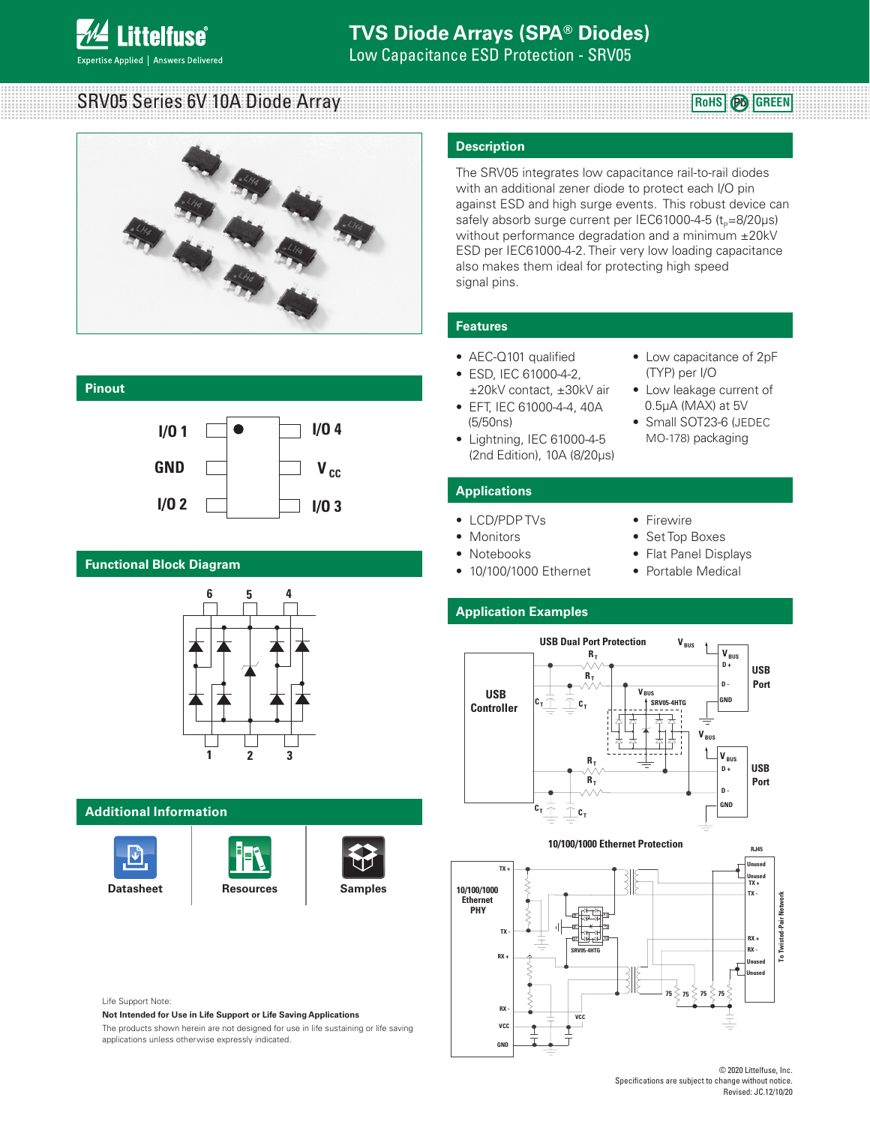

# Low Capacitance ESD Protection - SRV05 **TVS Diode Arrays (SPA® Diodes)**

# SRV05 Series 6V 10A Diode Array



#### **Pinout**



#### **Functional Block Diagram**



## **Additional Information**







#### Life Support Note:

#### **Not Intended for Use in Life Support or Life Saving Applications**

The products shown herein are not designed for use in life sustaining or life saving applications unless otherwise expressly indicated.

#### **Description**

The SRV05 integrates low capacitance rail-to-rail diodes with an additional zener diode to protect each I/O pin against ESD and high surge events. This robust device can safely absorb surge current per IEC61000-4-5  $(t_{p}=8/20\mu s)$ without performance degradation and a minimum ±20kV ESD per IEC61000-4-2. Their very low loading capacitance also makes them ideal for protecting high speed signal pins.

#### **Features**

- AEC-Q101 qualified
- ESD, IEC 61000-4-2, ±20kV contact, ±30kV air
- EFT, IEC 61000-4-4, 40A (5/50ns)
- Lightning, IEC 61000-4-5 (2nd Edition), 10A (8/20μs)

## **Applications**

- LCD/PDP TVs
- Monitors
- **Notebooks**
- 10/100/1000 Ethernet

• Low capacitance of 2pF (TYP) per I/O

**RoHS Pb GREEN**

- Low leakage current of 0.5μA (MAX) at 5V
- Small SOT23-6 (JEDEC MO-178) packaging
- Firewire
- Set Top Boxes
- Flat Panel Displays

**TX +**

• Portable Medical

#### **Application Examples**



**10/100 Ethernet Differential Protection**

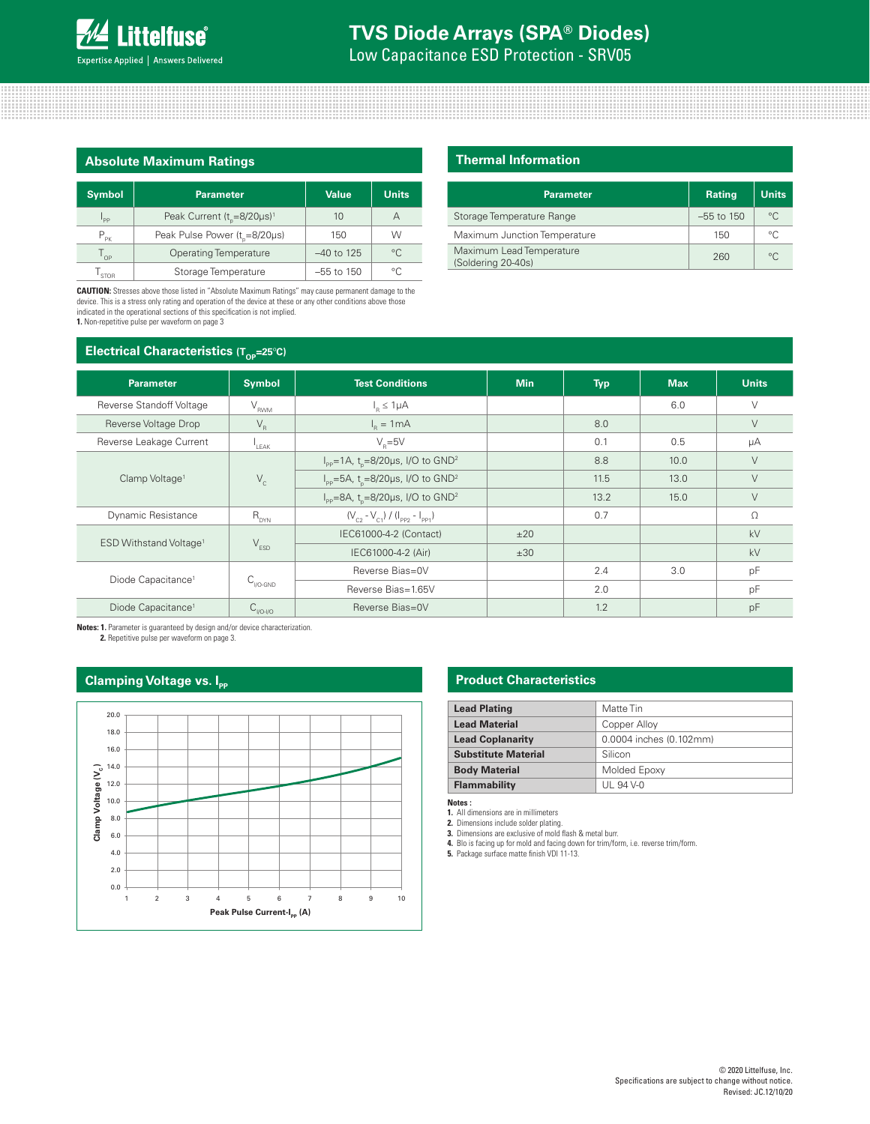Low Capacitance ESD Protection - SRV05

#### **Absolute Maximum Ratings**

| <b>Symbol</b>              | Parameter                                 | <b>Value</b> | <b>Units</b> |
|----------------------------|-------------------------------------------|--------------|--------------|
| P <sub>P</sub>             | Peak Current $(t0=8/20\mu s)^1$           | 10           |              |
| $P_{\rho_K}$               | Peak Pulse Power (t <sub>r</sub> =8/20µs) | 150          | W            |
| $\mathsf{I}_{\mathsf{OP}}$ | Operating Temperature                     | $-40$ to 125 | $^{\circ}$ C |
| STOR                       | Storage Temperature                       | $-55$ to 150 | $\circ$ C    |

**CAUTION:** Stresses above those listed in "Absolute Maximum Ratings" may cause permanent damage to the device. This is a stress only rating and operation of the device at these or any other conditions above those indicated in the operational sections of this specification is not implied.

**1.** Non-repetitive pulse per waveform on page 3

#### **Thermal Information**

| <b>Parameter</b>                               | <b>Rating</b> | <b>Units</b> |
|------------------------------------------------|---------------|--------------|
| Storage Temperature Range                      | $-55$ to 150  | $^{\circ}C$  |
| Maximum Junction Temperature                   | 150           | $\circ$      |
| Maximum Lead Temperature<br>(Soldering 20-40s) | 260           | $\circ$      |
|                                                |               |              |

| Electrical Characteristics ( $T_{\text{cos}}$ =25°C) |                        |                                                                        |            |            |            |              |
|------------------------------------------------------|------------------------|------------------------------------------------------------------------|------------|------------|------------|--------------|
| <b>Parameter</b>                                     | <b>Symbol</b>          | <b>Test Conditions</b>                                                 | <b>Min</b> | <b>Typ</b> | <b>Max</b> | <b>Units</b> |
| Reverse Standoff Voltage                             | $V_{\text{RWM}}$       | $I_{\rm B} \leq 1 \mu A$                                               |            |            | 6.0        | $\vee$       |
| Reverse Voltage Drop                                 | $V_R$                  | $I_{\rm B} = 1 \text{mA}$                                              |            | 8.0        |            | $\vee$       |
| Reverse Leakage Current                              | I<br>LEAK              | $V_e = 5V$                                                             |            | 0.1        | 0.5        | μA           |
|                                                      | $V_c$                  | $I_{pp}$ =1A, t <sub>o</sub> =8/20µs, I/O to GND <sup>2</sup>          |            | 8.8        | 10.0       | $\vee$       |
| Clamp Voltage <sup>1</sup>                           |                        | $I_{\text{pp}} = 5A$ , t <sub>o</sub> =8/20µs, I/O to GND <sup>2</sup> |            | 11.5       | 13.0       | $\vee$       |
|                                                      |                        | $I_{\text{pp}} = 8A$ , t <sub>o</sub> =8/20µs, I/O to GND <sup>2</sup> |            | 13.2       | 15.0       | $\vee$       |
| Dynamic Resistance                                   | $R_{DYN}$              | $(V_{c2} - V_{c1}) / (I_{pp2} - I_{pp1})$                              |            | 0.7        |            | $\Omega$     |
| <b>ESD Withstand Voltage<sup>1</sup></b>             | $V_{ESD}$              | IEC61000-4-2 (Contact)                                                 | ±20        |            |            | kV           |
|                                                      |                        | IEC61000-4-2 (Air)                                                     | ±30        |            |            | kV           |
| Diode Capacitance <sup>1</sup>                       | $U_{V^{\text{O-GND}}}$ | Reverse Bias=0V                                                        |            | 2.4        | 3.0        | pF           |
|                                                      |                        | Reverse Bias=1.65V                                                     |            | 2.0        |            | pF           |
| Diode Capacitance <sup>1</sup>                       | $C_{VO-VO}$            | Reverse Bias=0V                                                        |            | 1.2        |            | pF           |

**Notes: 1.** Parameter is guaranteed by design and/or device characterization.

**2.** Repetitive pulse per waveform on page 3.

## **Clamping Voltage vs. Ipp**



## **Product Characteristics**

| <b>Lead Plating</b>        | Matte Tin               |  |  |
|----------------------------|-------------------------|--|--|
| <b>Lead Material</b>       | Copper Alloy            |  |  |
| <b>Lead Coplanarity</b>    | 0.0004 inches (0.102mm) |  |  |
| <b>Substitute Material</b> | Silicon                 |  |  |
| <b>Body Material</b>       | Molded Epoxy            |  |  |
| Flammability               | $11.94$ V-0             |  |  |

**Notes :** 

**1.** All dimensions are in millimeters

**2.** Dimensions include solder plating.

**3.** Dimensions are exclusive of mold flash & metal burr. **4.** Blo is facing up for mold and facing down for trim/form, i.e. reverse trim/form.

**5.** Package surface matte finish VDI 11-13.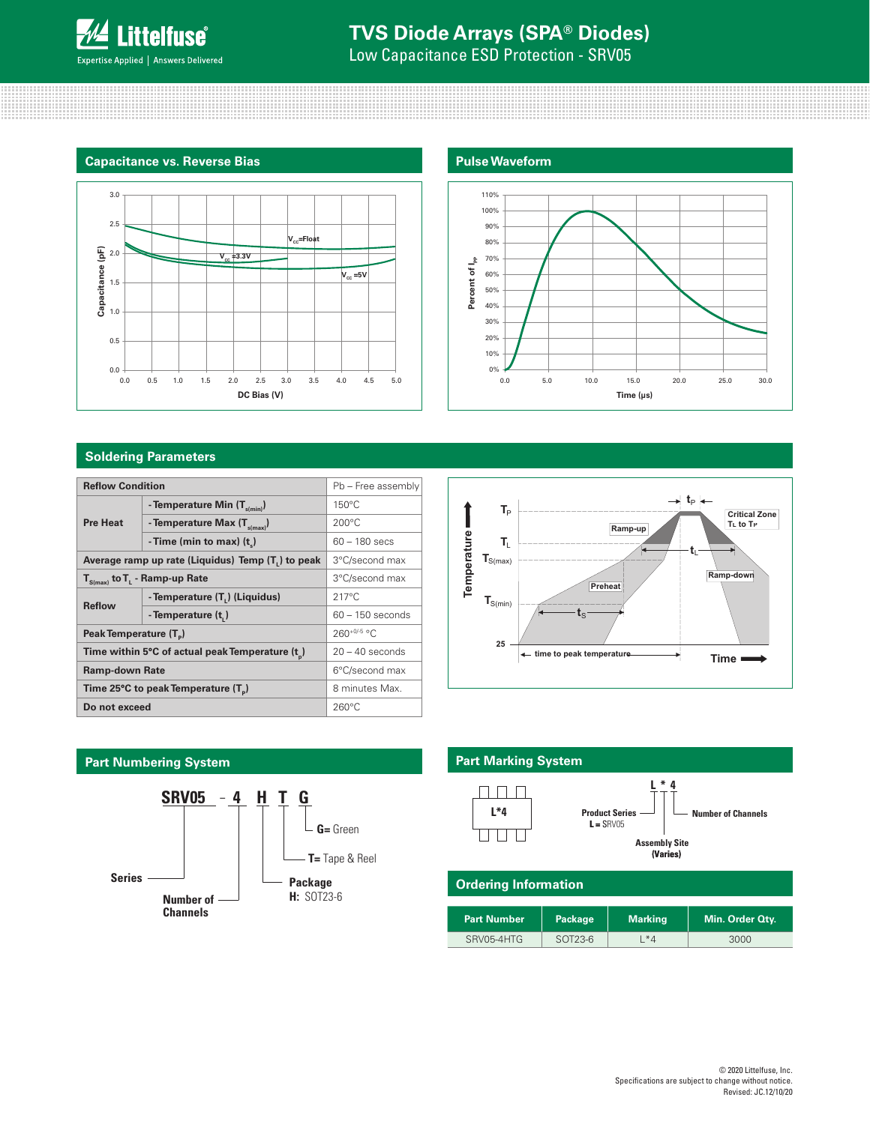

# **TVS Diode Arrays (SPA® Diodes)**

Low Capacitance ESD Protection - SRV05

100% 110%

# **Capacitance vs. Reverse Bias Pulse Waveform Pulse Waveform**



### **Soldering Parameters**

| <b>Reflow Condition</b>                                        | Pb - Free assembly                         |                    |  |
|----------------------------------------------------------------|--------------------------------------------|--------------------|--|
| <b>Pre Heat</b>                                                | - Temperature Min $(T_{s(min)})$           | $150^{\circ}$ C    |  |
|                                                                | - Temperature Max $(T_{\text{sum}})$       | $200^{\circ}$ C    |  |
|                                                                | -Time (min to max) $(t_*)$                 | $60 - 180$ secs    |  |
| Average ramp up rate (Liquidus) Temp (T <sub>1</sub> ) to peak | 3°C/second max                             |                    |  |
| $T_{S(max)}$ to $T_{L}$ - Ramp-up Rate                         |                                            | 3°C/second max     |  |
| <b>Reflow</b>                                                  | - Temperature (T <sub>L</sub> ) (Liquidus) | $217^{\circ}$ C    |  |
|                                                                | - Temperature (t,)                         | $60 - 150$ seconds |  |
| Peak Temperature (T <sub>a</sub> )                             |                                            | $260+0/5$ °C       |  |
| Time within 5°C of actual peak Temperature (t <sub>p</sub> )   |                                            | $20 - 40$ seconds  |  |
| <b>Ramp-down Rate</b>                                          |                                            | 6°C/second max     |  |
| Time 25°C to peak Temperature (T <sub>a</sub> )                |                                            | 8 minutes Max.     |  |
| Do not exceed                                                  |                                            | $260^{\circ}$ C    |  |

#### $\star$  **t**<sub>P</sub>  $\leftarrow$  $T_P$ Temperature -**Critical Zone TL to TP Ramp-up Temperature T**L **t**L  $\mathbf{T}_{S(max)}$ **Ramp-dow Ramp-do n Preheat T**S(min)  $\mathbf{t}_\texttt{S}$ **25 time to peak temperature Time**

## **Part Numbering System Part Marking System SRV05 4 H T G – Series Number of Channels Package H:** SOT23-6 **T=** Tape & Reel **G=** Green

| L*4                         |         | $*4$<br><b>Number of Channels</b><br><b>Product Series</b><br>$L =$ SRV05<br><b>Assembly Site</b><br>(Varies) |                 |  |  |
|-----------------------------|---------|---------------------------------------------------------------------------------------------------------------|-----------------|--|--|
| <b>Ordering Information</b> |         |                                                                                                               |                 |  |  |
| <b>Part Number</b>          | Package | <b>Marking</b>                                                                                                | Min. Order Qty. |  |  |
| SRV05-4HTG                  | SOT23-6 | $. *4$                                                                                                        | 3000            |  |  |